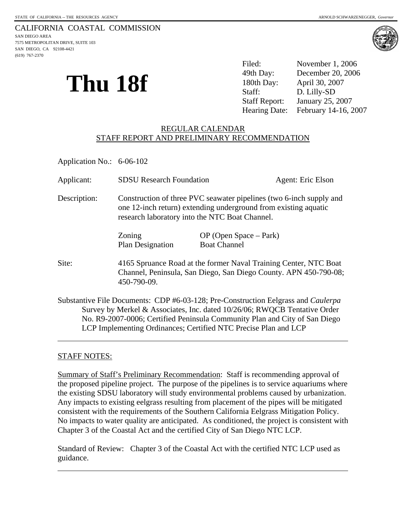SAN DIEGO, CA 92108-4421

(619) 767-2370



| Thu 18f | Filed:               | November 1, 2006                   |
|---------|----------------------|------------------------------------|
|         | 49th Day:            | December 20, 2006                  |
|         | 180th Day:           | April 30, 2007                     |
|         | Staff:               | D. Lilly-SD                        |
|         | <b>Staff Report:</b> | January 25, 2007                   |
|         |                      | Hearing Date: February 14-16, 2007 |

## REGULAR CALENDAR STAFF REPORT AND PRELIMINARY RECOMMENDATION

Application No.: 6-06-102

| Applicant:   | <b>SDSU</b> Research Foundation                                                                                                                                                                                                                     |                                                 | Agent: Eric Elson |
|--------------|-----------------------------------------------------------------------------------------------------------------------------------------------------------------------------------------------------------------------------------------------------|-------------------------------------------------|-------------------|
| Description: | Construction of three PVC seawater pipelines (two 6-inch supply and<br>one 12-inch return) extending underground from existing aquatic<br>research laboratory into the NTC Boat Channel.                                                            |                                                 |                   |
|              | Zoning<br>Plan Designation                                                                                                                                                                                                                          | $OP$ (Open Space – Park)<br><b>Boat Channel</b> |                   |
| Site:        | 4165 Spruance Road at the former Naval Training Center, NTC Boat<br>Channel, Peninsula, San Diego, San Diego County. APN 450-790-08;<br>450-790-09.                                                                                                 |                                                 |                   |
|              | Substantive File Documents: CDP #6-03-128; Pre-Construction Eelgrass and <i>Caulerpa</i><br>Survey by Merkel & Associates, Inc. dated 10/26/06; RWQCB Tentative Order<br>No. R9-2007-0006; Certified Peninsula Community Plan and City of San Diego |                                                 |                   |

# STAFF NOTES:

 $\overline{a}$ 

 $\overline{a}$ 

Summary of Staff's Preliminary Recommendation: Staff is recommending approval of the proposed pipeline project. The purpose of the pipelines is to service aquariums where the existing SDSU laboratory will study environmental problems caused by urbanization. Any impacts to existing eelgrass resulting from placement of the pipes will be mitigated consistent with the requirements of the Southern California Eelgrass Mitigation Policy. No impacts to water quality are anticipated. As conditioned, the project is consistent with Chapter 3 of the Coastal Act and the certified City of San Diego NTC LCP.

LCP Implementing Ordinances; Certified NTC Precise Plan and LCP

Standard of Review: Chapter 3 of the Coastal Act with the certified NTC LCP used as guidance.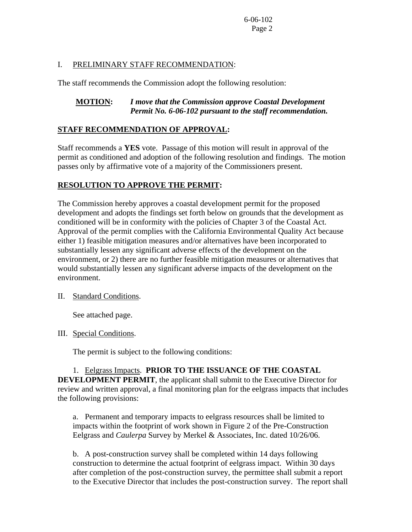## I. PRELIMINARY STAFF RECOMMENDATION:

The staff recommends the Commission adopt the following resolution:

## **MOTION:** *I move that the Commission approve Coastal Development Permit No. 6-06-102 pursuant to the staff recommendation.*

## **STAFF RECOMMENDATION OF APPROVAL:**

Staff recommends a **YES** vote. Passage of this motion will result in approval of the permit as conditioned and adoption of the following resolution and findings. The motion passes only by affirmative vote of a majority of the Commissioners present.

# **RESOLUTION TO APPROVE THE PERMIT:**

The Commission hereby approves a coastal development permit for the proposed development and adopts the findings set forth below on grounds that the development as conditioned will be in conformity with the policies of Chapter 3 of the Coastal Act. Approval of the permit complies with the California Environmental Quality Act because either 1) feasible mitigation measures and/or alternatives have been incorporated to substantially lessen any significant adverse effects of the development on the environment, or 2) there are no further feasible mitigation measures or alternatives that would substantially lessen any significant adverse impacts of the development on the environment.

### II. Standard Conditions.

See attached page.

III. Special Conditions.

The permit is subject to the following conditions:

 1. Eelgrass Impacts. **PRIOR TO THE ISSUANCE OF THE COASTAL DEVELOPMENT PERMIT**, the applicant shall submit to the Executive Director for review and written approval, a final monitoring plan for the eelgrass impacts that includes the following provisions:

a. Permanent and temporary impacts to eelgrass resources shall be limited to impacts within the footprint of work shown in Figure 2 of the Pre-Construction Eelgrass and *Caulerpa* Survey by Merkel & Associates, Inc. dated 10/26/06.

b. A post-construction survey shall be completed within 14 days following construction to determine the actual footprint of eelgrass impact. Within 30 days after completion of the post-construction survey, the permittee shall submit a report to the Executive Director that includes the post-construction survey. The report shall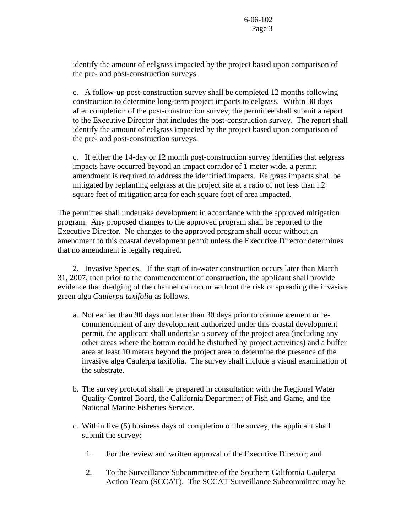identify the amount of eelgrass impacted by the project based upon comparison of the pre- and post-construction surveys.

c. A follow-up post-construction survey shall be completed 12 months following construction to determine long-term project impacts to eelgrass. Within 30 days after completion of the post-construction survey, the permittee shall submit a report to the Executive Director that includes the post-construction survey. The report shall identify the amount of eelgrass impacted by the project based upon comparison of the pre- and post-construction surveys.

c. If either the 14-day or 12 month post-construction survey identifies that eelgrass impacts have occurred beyond an impact corridor of 1 meter wide, a permit amendment is required to address the identified impacts. Eelgrass impacts shall be mitigated by replanting eelgrass at the project site at a ratio of not less than l.2 square feet of mitigation area for each square foot of area impacted.

The permittee shall undertake development in accordance with the approved mitigation program. Any proposed changes to the approved program shall be reported to the Executive Director. No changes to the approved program shall occur without an amendment to this coastal development permit unless the Executive Director determines that no amendment is legally required.

2. Invasive Species. If the start of in-water construction occurs later than March 31, 2007, then prior to the commencement of construction, the applicant shall provide evidence that dredging of the channel can occur without the risk of spreading the invasive green alga *Caulerpa taxifolia* as follows*.* 

- a. Not earlier than 90 days nor later than 30 days prior to commencement or recommencement of any development authorized under this coastal development permit, the applicant shall undertake a survey of the project area (including any other areas where the bottom could be disturbed by project activities) and a buffer area at least 10 meters beyond the project area to determine the presence of the invasive alga Caulerpa taxifolia. The survey shall include a visual examination of the substrate.
- b. The survey protocol shall be prepared in consultation with the Regional Water Quality Control Board, the California Department of Fish and Game, and the National Marine Fisheries Service.
- c. Within five (5) business days of completion of the survey, the applicant shall submit the survey:
	- 1. For the review and written approval of the Executive Director; and
	- 2. To the Surveillance Subcommittee of the Southern California Caulerpa Action Team (SCCAT). The SCCAT Surveillance Subcommittee may be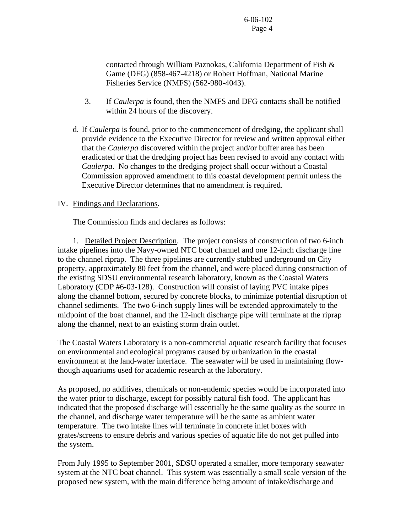contacted through William Paznokas, California Department of Fish & Game (DFG) (858-467-4218) or Robert Hoffman, National Marine Fisheries Service (NMFS) (562-980-4043).

- 3. If *Caulerpa* is found, then the NMFS and DFG contacts shall be notified within 24 hours of the discovery.
- d. If *Caulerpa* is found, prior to the commencement of dredging, the applicant shall provide evidence to the Executive Director for review and written approval either that the *Caulerpa* discovered within the project and/or buffer area has been eradicated or that the dredging project has been revised to avoid any contact with *Caulerpa*. No changes to the dredging project shall occur without a Coastal Commission approved amendment to this coastal development permit unless the Executive Director determines that no amendment is required.

### IV. Findings and Declarations.

The Commission finds and declares as follows:

 1. Detailed Project Description. The project consists of construction of two 6-inch intake pipelines into the Navy-owned NTC boat channel and one 12-inch discharge line to the channel riprap. The three pipelines are currently stubbed underground on City property, approximately 80 feet from the channel, and were placed during construction of the existing SDSU environmental research laboratory, known as the Coastal Waters Laboratory (CDP #6-03-128). Construction will consist of laying PVC intake pipes along the channel bottom, secured by concrete blocks, to minimize potential disruption of channel sediments. The two 6-inch supply lines will be extended approximately to the midpoint of the boat channel, and the 12-inch discharge pipe will terminate at the riprap along the channel, next to an existing storm drain outlet.

The Coastal Waters Laboratory is a non-commercial aquatic research facility that focuses on environmental and ecological programs caused by urbanization in the coastal environment at the land-water interface. The seawater will be used in maintaining flowthough aquariums used for academic research at the laboratory.

As proposed, no additives, chemicals or non-endemic species would be incorporated into the water prior to discharge, except for possibly natural fish food. The applicant has indicated that the proposed discharge will essentially be the same quality as the source in the channel, and discharge water temperature will be the same as ambient water temperature. The two intake lines will terminate in concrete inlet boxes with grates/screens to ensure debris and various species of aquatic life do not get pulled into the system.

From July 1995 to September 2001, SDSU operated a smaller, more temporary seawater system at the NTC boat channel. This system was essentially a small scale version of the proposed new system, with the main difference being amount of intake/discharge and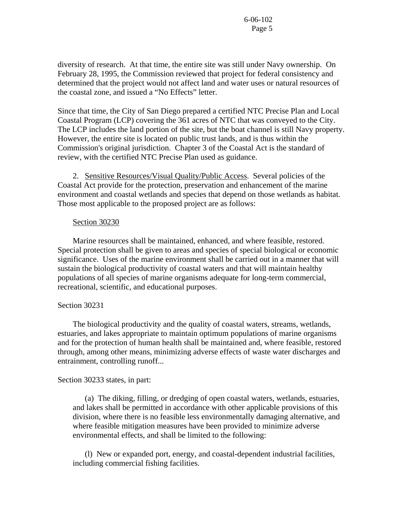diversity of research. At that time, the entire site was still under Navy ownership. On February 28, 1995, the Commission reviewed that project for federal consistency and determined that the project would not affect land and water uses or natural resources of the coastal zone, and issued a "No Effects" letter.

Since that time, the City of San Diego prepared a certified NTC Precise Plan and Local Coastal Program (LCP) covering the 361 acres of NTC that was conveyed to the City. The LCP includes the land portion of the site, but the boat channel is still Navy property. However, the entire site is located on public trust lands, and is thus within the Commission's original jurisdiction. Chapter 3 of the Coastal Act is the standard of review, with the certified NTC Precise Plan used as guidance.

 2. Sensitive Resources/Visual Quality/Public Access. Several policies of the Coastal Act provide for the protection, preservation and enhancement of the marine environment and coastal wetlands and species that depend on those wetlands as habitat. Those most applicable to the proposed project are as follows:

#### Section 30230

 Marine resources shall be maintained, enhanced, and where feasible, restored. Special protection shall be given to areas and species of special biological or economic significance. Uses of the marine environment shall be carried out in a manner that will sustain the biological productivity of coastal waters and that will maintain healthy populations of all species of marine organisms adequate for long-term commercial, recreational, scientific, and educational purposes.

#### Section 30231

 The biological productivity and the quality of coastal waters, streams, wetlands, estuaries, and lakes appropriate to maintain optimum populations of marine organisms and for the protection of human health shall be maintained and, where feasible, restored through, among other means, minimizing adverse effects of waste water discharges and entrainment, controlling runoff...

### Section 30233 states, in part:

 (a) The diking, filling, or dredging of open coastal waters, wetlands, estuaries, and lakes shall be permitted in accordance with other applicable provisions of this division, where there is no feasible less environmentally damaging alternative, and where feasible mitigation measures have been provided to minimize adverse environmental effects, and shall be limited to the following:

 (l) New or expanded port, energy, and coastal-dependent industrial facilities, including commercial fishing facilities.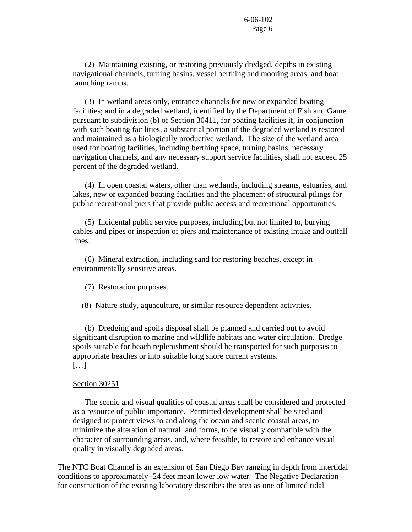(2) Maintaining existing, or restoring previously dredged, depths in existing navigational channels, turning basins, vessel berthing and mooring areas, and boat launching ramps.

 (3) In wetland areas only, entrance channels for new or expanded boating facilities; and in a degraded wetland, identified by the Department of Fish and Game pursuant to subdivision (b) of Section 30411, for boating facilities if, in conjunction with such boating facilities, a substantial portion of the degraded wetland is restored and maintained as a biologically productive wetland. The size of the wetland area used for boating facilities, including berthing space, turning basins, necessary navigation channels, and any necessary support service facilities, shall not exceed 25 percent of the degraded wetland.

 (4) In open coastal waters, other than wetlands, including streams, estuaries, and lakes, new or expanded boating facilities and the placement of structural pilings for public recreational piers that provide public access and recreational opportunities.

 (5) Incidental public service purposes, including but not limited to, burying cables and pipes or inspection of piers and maintenance of existing intake and outfall lines.

 (6) Mineral extraction, including sand for restoring beaches, except in environmentally sensitive areas.

(7) Restoration purposes.

(8) Nature study, aquaculture, or similar resource dependent activities.

 (b) Dredging and spoils disposal shall be planned and carried out to avoid significant disruption to marine and wildlife habitats and water circulation. Dredge spoils suitable for beach replenishment should be transported for such purposes to appropriate beaches or into suitable long shore current systems. […]

#### Section 30251

 The scenic and visual qualities of coastal areas shall be considered and protected as a resource of public importance. Permitted development shall be sited and designed to protect views to and along the ocean and scenic coastal areas, to minimize the alteration of natural land forms, to be visually compatible with the character of surrounding areas, and, where feasible, to restore and enhance visual quality in visually degraded areas.

The NTC Boat Channel is an extension of San Diego Bay ranging in depth from intertidal conditions to approximately -24 feet mean lower low water. The Negative Declaration for construction of the existing laboratory describes the area as one of limited tidal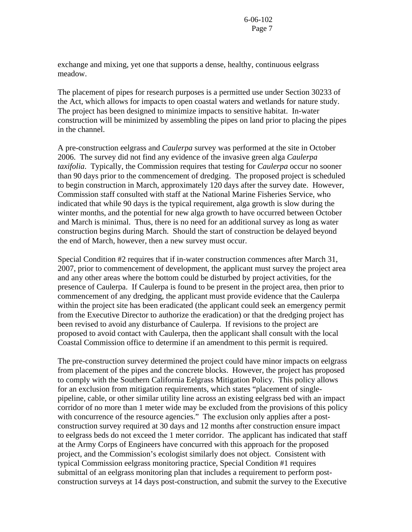exchange and mixing, yet one that supports a dense, healthy, continuous eelgrass meadow.

The placement of pipes for research purposes is a permitted use under Section 30233 of the Act, which allows for impacts to open coastal waters and wetlands for nature study. The project has been designed to minimize impacts to sensitive habitat. In-water construction will be minimized by assembling the pipes on land prior to placing the pipes in the channel.

A pre-construction eelgrass and *Caulerpa* survey was performed at the site in October 2006. The survey did not find any evidence of the invasive green alga *Caulerpa taxifolia*. Typically, the Commission requires that testing for *Caulerpa* occur no sooner than 90 days prior to the commencement of dredging. The proposed project is scheduled to begin construction in March, approximately 120 days after the survey date. However, Commission staff consulted with staff at the National Marine Fisheries Service, who indicated that while 90 days is the typical requirement, alga growth is slow during the winter months, and the potential for new alga growth to have occurred between October and March is minimal. Thus, there is no need for an additional survey as long as water construction begins during March. Should the start of construction be delayed beyond the end of March, however, then a new survey must occur.

Special Condition #2 requires that if in-water construction commences after March 31, 2007, prior to commencement of development, the applicant must survey the project area and any other areas where the bottom could be disturbed by project activities, for the presence of Caulerpa. If Caulerpa is found to be present in the project area, then prior to commencement of any dredging, the applicant must provide evidence that the Caulerpa within the project site has been eradicated (the applicant could seek an emergency permit from the Executive Director to authorize the eradication) or that the dredging project has been revised to avoid any disturbance of Caulerpa. If revisions to the project are proposed to avoid contact with Caulerpa, then the applicant shall consult with the local Coastal Commission office to determine if an amendment to this permit is required.

The pre-construction survey determined the project could have minor impacts on eelgrass from placement of the pipes and the concrete blocks. However, the project has proposed to comply with the Southern California Eelgrass Mitigation Policy. This policy allows for an exclusion from mitigation requirements, which states "placement of singlepipeline, cable, or other similar utility line across an existing eelgrass bed with an impact corridor of no more than 1 meter wide may be excluded from the provisions of this policy with concurrence of the resource agencies." The exclusion only applies after a postconstruction survey required at 30 days and 12 months after construction ensure impact to eelgrass beds do not exceed the 1 meter corridor. The applicant has indicated that staff at the Army Corps of Engineers have concurred with this approach for the proposed project, and the Commission's ecologist similarly does not object. Consistent with typical Commission eelgrass monitoring practice, Special Condition #1 requires submittal of an eelgrass monitoring plan that includes a requirement to perform postconstruction surveys at 14 days post-construction, and submit the survey to the Executive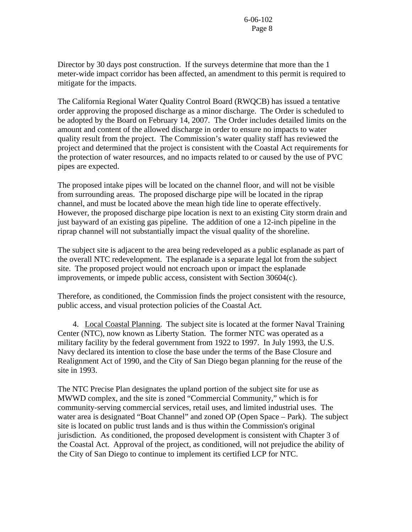Director by 30 days post construction. If the surveys determine that more than the 1 meter-wide impact corridor has been affected, an amendment to this permit is required to mitigate for the impacts.

The California Regional Water Quality Control Board (RWQCB) has issued a tentative order approving the proposed discharge as a minor discharge. The Order is scheduled to be adopted by the Board on February 14, 2007. The Order includes detailed limits on the amount and content of the allowed discharge in order to ensure no impacts to water quality result from the project. The Commission's water quality staff has reviewed the project and determined that the project is consistent with the Coastal Act requirements for the protection of water resources, and no impacts related to or caused by the use of PVC pipes are expected.

The proposed intake pipes will be located on the channel floor, and will not be visible from surrounding areas. The proposed discharge pipe will be located in the riprap channel, and must be located above the mean high tide line to operate effectively. However, the proposed discharge pipe location is next to an existing City storm drain and just bayward of an existing gas pipeline. The addition of one a 12-inch pipeline in the riprap channel will not substantially impact the visual quality of the shoreline.

The subject site is adjacent to the area being redeveloped as a public esplanade as part of the overall NTC redevelopment. The esplanade is a separate legal lot from the subject site. The proposed project would not encroach upon or impact the esplanade improvements, or impede public access, consistent with Section 30604(c).

Therefore, as conditioned, the Commission finds the project consistent with the resource, public access, and visual protection policies of the Coastal Act.

 4. Local Coastal Planning. The subject site is located at the former Naval Training Center (NTC), now known as Liberty Station. The former NTC was operated as a military facility by the federal government from 1922 to 1997. In July 1993, the U.S. Navy declared its intention to close the base under the terms of the Base Closure and Realignment Act of 1990, and the City of San Diego began planning for the reuse of the site in 1993.

The NTC Precise Plan designates the upland portion of the subject site for use as MWWD complex, and the site is zoned "Commercial Community," which is for community-serving commercial services, retail uses, and limited industrial uses. The water area is designated "Boat Channel" and zoned OP (Open Space – Park). The subject site is located on public trust lands and is thus within the Commission's original jurisdiction. As conditioned, the proposed development is consistent with Chapter 3 of the Coastal Act. Approval of the project, as conditioned, will not prejudice the ability of the City of San Diego to continue to implement its certified LCP for NTC.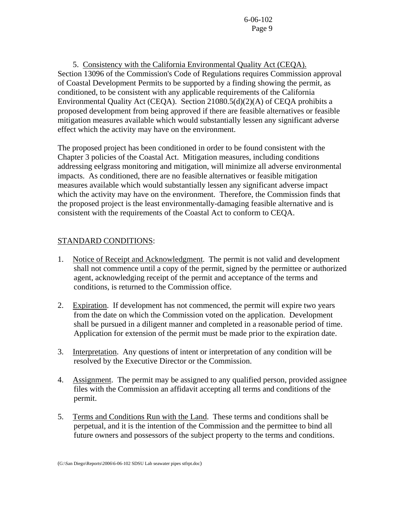5. Consistency with the California Environmental Quality Act (CEQA). Section 13096 of the Commission's Code of Regulations requires Commission approval of Coastal Development Permits to be supported by a finding showing the permit, as conditioned, to be consistent with any applicable requirements of the California Environmental Quality Act (CEQA). Section 21080.5(d)(2)(A) of CEQA prohibits a proposed development from being approved if there are feasible alternatives or feasible mitigation measures available which would substantially lessen any significant adverse effect which the activity may have on the environment.

The proposed project has been conditioned in order to be found consistent with the Chapter 3 policies of the Coastal Act. Mitigation measures, including conditions addressing eelgrass monitoring and mitigation, will minimize all adverse environmental impacts. As conditioned, there are no feasible alternatives or feasible mitigation measures available which would substantially lessen any significant adverse impact which the activity may have on the environment. Therefore, the Commission finds that the proposed project is the least environmentally-damaging feasible alternative and is consistent with the requirements of the Coastal Act to conform to CEQA.

# STANDARD CONDITIONS:

- 1. Notice of Receipt and Acknowledgment. The permit is not valid and development shall not commence until a copy of the permit, signed by the permittee or authorized agent, acknowledging receipt of the permit and acceptance of the terms and conditions, is returned to the Commission office.
- 2. Expiration. If development has not commenced, the permit will expire two years from the date on which the Commission voted on the application. Development shall be pursued in a diligent manner and completed in a reasonable period of time. Application for extension of the permit must be made prior to the expiration date.
- 3. Interpretation. Any questions of intent or interpretation of any condition will be resolved by the Executive Director or the Commission.
- 4. Assignment. The permit may be assigned to any qualified person, provided assignee files with the Commission an affidavit accepting all terms and conditions of the permit.
- 5. Terms and Conditions Run with the Land. These terms and conditions shall be perpetual, and it is the intention of the Commission and the permittee to bind all future owners and possessors of the subject property to the terms and conditions.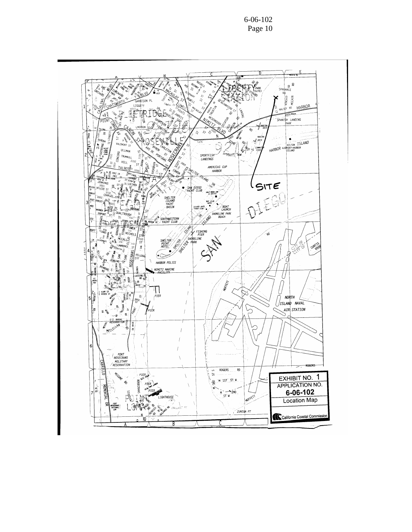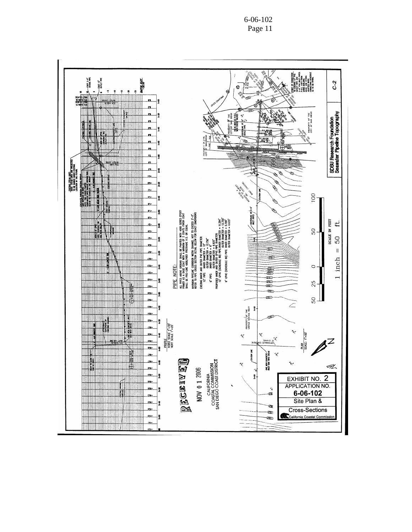6-06-102 Page 11